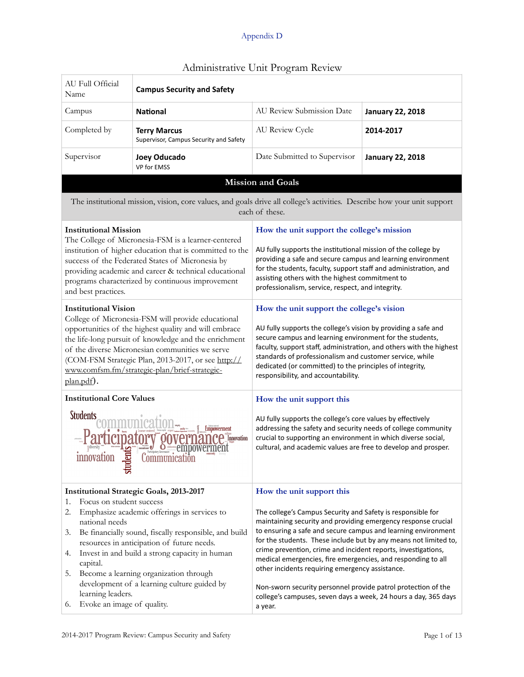|                                                                                                                                                                                                                                                                                                                                                                                                                                                                                                                                                                                                                                                                                                   |                                                                                                                          | rummotiative onit i rogram neview                                                                                                                                                                                                                                                                                                                                                                                                                     |                         |  |  |
|---------------------------------------------------------------------------------------------------------------------------------------------------------------------------------------------------------------------------------------------------------------------------------------------------------------------------------------------------------------------------------------------------------------------------------------------------------------------------------------------------------------------------------------------------------------------------------------------------------------------------------------------------------------------------------------------------|--------------------------------------------------------------------------------------------------------------------------|-------------------------------------------------------------------------------------------------------------------------------------------------------------------------------------------------------------------------------------------------------------------------------------------------------------------------------------------------------------------------------------------------------------------------------------------------------|-------------------------|--|--|
| AU Full Official<br>Name                                                                                                                                                                                                                                                                                                                                                                                                                                                                                                                                                                                                                                                                          | <b>Campus Security and Safety</b>                                                                                        |                                                                                                                                                                                                                                                                                                                                                                                                                                                       |                         |  |  |
| Campus                                                                                                                                                                                                                                                                                                                                                                                                                                                                                                                                                                                                                                                                                            | <b>National</b>                                                                                                          | AU Review Submission Date                                                                                                                                                                                                                                                                                                                                                                                                                             | <b>January 22, 2018</b> |  |  |
| Completed by                                                                                                                                                                                                                                                                                                                                                                                                                                                                                                                                                                                                                                                                                      | <b>Terry Marcus</b><br>Supervisor, Campus Security and Safety                                                            | AU Review Cycle                                                                                                                                                                                                                                                                                                                                                                                                                                       | 2014-2017               |  |  |
| Supervisor                                                                                                                                                                                                                                                                                                                                                                                                                                                                                                                                                                                                                                                                                        | <b>Joey Oducado</b><br>VP for EMSS                                                                                       | Date Submitted to Supervisor                                                                                                                                                                                                                                                                                                                                                                                                                          | <b>January 22, 2018</b> |  |  |
|                                                                                                                                                                                                                                                                                                                                                                                                                                                                                                                                                                                                                                                                                                   |                                                                                                                          | <b>Mission and Goals</b>                                                                                                                                                                                                                                                                                                                                                                                                                              |                         |  |  |
|                                                                                                                                                                                                                                                                                                                                                                                                                                                                                                                                                                                                                                                                                                   | The institutional mission, vision, core values, and goals drive all college's activities. Describe how your unit support | each of these.                                                                                                                                                                                                                                                                                                                                                                                                                                        |                         |  |  |
| <b>Institutional Mission</b><br>How the unit support the college's mission<br>The College of Micronesia-FSM is a learner-centered<br>institution of higher education that is committed to the<br>AU fully supports the institutional mission of the college by<br>providing a safe and secure campus and learning environment<br>success of the Federated States of Micronesia by<br>for the students, faculty, support staff and administration, and<br>providing academic and career & technical educational<br>assisting others with the highest commitment to<br>programs characterized by continuous improvement<br>professionalism, service, respect, and integrity.<br>and best practices. |                                                                                                                          |                                                                                                                                                                                                                                                                                                                                                                                                                                                       |                         |  |  |
| <b>Institutional Vision</b><br>College of Micronesia-FSM will provide educational<br>opportunities of the highest quality and will embrace<br>the life-long pursuit of knowledge and the enrichment<br>of the diverse Micronesian communities we serve<br>(COM-FSM Strategic Plan, 2013-2017, or see http://<br>www.comfsm.fm/strategic-plan/brief-strategic-<br>plan.pdf).                                                                                                                                                                                                                                                                                                                       |                                                                                                                          | How the unit support the college's vision<br>AU fully supports the college's vision by providing a safe and<br>secure campus and learning environment for the students,<br>faculty, support staff, administration, and others with the highest<br>standards of professionalism and customer service, while<br>dedicated (or committed) to the principles of integrity,<br>responsibility, and accountability.                                         |                         |  |  |
| <b>Institutional Core Values</b>                                                                                                                                                                                                                                                                                                                                                                                                                                                                                                                                                                                                                                                                  |                                                                                                                          | How the unit support this                                                                                                                                                                                                                                                                                                                                                                                                                             |                         |  |  |
| <b>Students</b><br>Empowerment<br>Innovation<br>Communication<br>mnovation<br>$_{\rm t}$                                                                                                                                                                                                                                                                                                                                                                                                                                                                                                                                                                                                          |                                                                                                                          | AU fully supports the college's core values by effectively<br>addressing the safety and security needs of college community<br>crucial to supporting an environment in which diverse social,<br>cultural, and academic values are free to develop and prosper.                                                                                                                                                                                        |                         |  |  |
| <b>Institutional Strategic Goals, 2013-2017</b>                                                                                                                                                                                                                                                                                                                                                                                                                                                                                                                                                                                                                                                   |                                                                                                                          | How the unit support this                                                                                                                                                                                                                                                                                                                                                                                                                             |                         |  |  |
| Focus on student success<br>1.<br>2.<br>Emphasize academic offerings in services to<br>national needs<br>Be financially sound, fiscally responsible, and build<br>3.<br>resources in anticipation of future needs.<br>Invest in and build a strong capacity in human<br>4.<br>capital.<br>Become a learning organization through<br>5.                                                                                                                                                                                                                                                                                                                                                            |                                                                                                                          | The college's Campus Security and Safety is responsible for<br>maintaining security and providing emergency response crucial<br>to ensuring a safe and secure campus and learning environment<br>for the students. These include but by any means not limited to,<br>crime prevention, crime and incident reports, investigations,<br>medical emergencies, fire emergencies, and responding to all<br>other incidents requiring emergency assistance. |                         |  |  |
| learning leaders.<br>Evoke an image of quality.<br>6.                                                                                                                                                                                                                                                                                                                                                                                                                                                                                                                                                                                                                                             | development of a learning culture guided by                                                                              | Non-sworn security personnel provide patrol protection of the<br>college's campuses, seven days a week, 24 hours a day, 365 days<br>a year.                                                                                                                                                                                                                                                                                                           |                         |  |  |

# Administrative Unit Program Review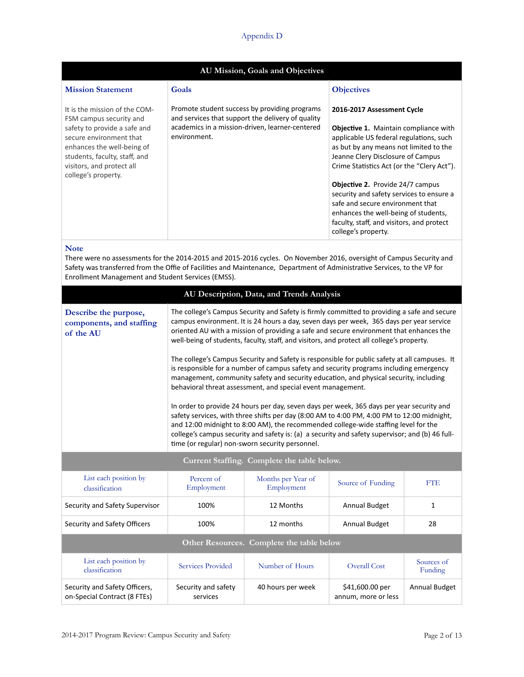| AU Mission, Goals and Objectives                                                                                                                                                                                                       |                                                                                                                                                                       |                                                                                                                                                                                                                                                                                                                                                                                                                                                                                           |  |  |  |
|----------------------------------------------------------------------------------------------------------------------------------------------------------------------------------------------------------------------------------------|-----------------------------------------------------------------------------------------------------------------------------------------------------------------------|-------------------------------------------------------------------------------------------------------------------------------------------------------------------------------------------------------------------------------------------------------------------------------------------------------------------------------------------------------------------------------------------------------------------------------------------------------------------------------------------|--|--|--|
| <b>Mission Statement</b>                                                                                                                                                                                                               | Goals                                                                                                                                                                 | <b>Objectives</b>                                                                                                                                                                                                                                                                                                                                                                                                                                                                         |  |  |  |
| It is the mission of the COM-<br>FSM campus security and<br>safety to provide a safe and<br>secure environment that<br>enhances the well-being of<br>students, faculty, staff, and<br>visitors, and protect all<br>college's property. | Promote student success by providing programs<br>and services that support the delivery of quality<br>academics in a mission-driven, learner-centered<br>environment. | 2016-2017 Assessment Cycle<br><b>Objective 1.</b> Maintain compliance with<br>applicable US federal regulations, such<br>as but by any means not limited to the<br>Jeanne Clery Disclosure of Campus<br>Crime Statistics Act (or the "Clery Act").<br><b>Objective 2.</b> Provide 24/7 campus<br>security and safety services to ensure a<br>safe and secure environment that<br>enhances the well-being of students,<br>faculty, staff, and visitors, and protect<br>college's property. |  |  |  |

### **Note**

There were no assessments for the 2014-2015 and 2015-2016 cycles. On November 2016, oversight of Campus Security and Safety was transferred from the Offie of Facilities and Maintenance, Department of Administrative Services, to the VP for Enrollment Management and Student Services (EMSS).

|                                                                |                                                                                                                                                                                                                                                                                                                                                                                                                                                                                                                                                                                                                                                                                                                                                                                                                                                                                                                                                                                                                                                                                                                                                                            | AU Description, Data, and Trends Analysis |                                        |                       |  |
|----------------------------------------------------------------|----------------------------------------------------------------------------------------------------------------------------------------------------------------------------------------------------------------------------------------------------------------------------------------------------------------------------------------------------------------------------------------------------------------------------------------------------------------------------------------------------------------------------------------------------------------------------------------------------------------------------------------------------------------------------------------------------------------------------------------------------------------------------------------------------------------------------------------------------------------------------------------------------------------------------------------------------------------------------------------------------------------------------------------------------------------------------------------------------------------------------------------------------------------------------|-------------------------------------------|----------------------------------------|-----------------------|--|
| Describe the purpose,<br>components, and staffing<br>of the AU | The college's Campus Security and Safety is firmly committed to providing a safe and secure<br>campus environment. It is 24 hours a day, seven days per week, 365 days per year service<br>oriented AU with a mission of providing a safe and secure environment that enhances the<br>well-being of students, faculty, staff, and visitors, and protect all college's property.<br>The college's Campus Security and Safety is responsible for public safety at all campuses. It<br>is responsible for a number of campus safety and security programs including emergency<br>management, community safety and security education, and physical security, including<br>behavioral threat assessment, and special event management.<br>In order to provide 24 hours per day, seven days per week, 365 days per year security and<br>safety services, with three shifts per day (8:00 AM to 4:00 PM, 4:00 PM to 12:00 midnight,<br>and 12:00 midnight to 8:00 AM), the recommended college-wide staffing level for the<br>college's campus security and safety is: (a) a security and safety supervisor; and (b) 46 full-<br>time (or regular) non-sworn security personnel. |                                           |                                        |                       |  |
| Current Staffing. Complete the table below.                    |                                                                                                                                                                                                                                                                                                                                                                                                                                                                                                                                                                                                                                                                                                                                                                                                                                                                                                                                                                                                                                                                                                                                                                            |                                           |                                        |                       |  |
| List each position by<br>classification                        | Percent of<br>Employment                                                                                                                                                                                                                                                                                                                                                                                                                                                                                                                                                                                                                                                                                                                                                                                                                                                                                                                                                                                                                                                                                                                                                   | Months per Year of<br>Employment          | Source of Funding                      | <b>FTE</b>            |  |
| Security and Safety Supervisor                                 | 100%                                                                                                                                                                                                                                                                                                                                                                                                                                                                                                                                                                                                                                                                                                                                                                                                                                                                                                                                                                                                                                                                                                                                                                       | 12 Months                                 | Annual Budget                          | 1                     |  |
| Security and Safety Officers                                   | 100%                                                                                                                                                                                                                                                                                                                                                                                                                                                                                                                                                                                                                                                                                                                                                                                                                                                                                                                                                                                                                                                                                                                                                                       | 12 months                                 | Annual Budget                          | 28                    |  |
| Other Resources. Complete the table below                      |                                                                                                                                                                                                                                                                                                                                                                                                                                                                                                                                                                                                                                                                                                                                                                                                                                                                                                                                                                                                                                                                                                                                                                            |                                           |                                        |                       |  |
| List each position by<br>classification                        | <b>Services Provided</b>                                                                                                                                                                                                                                                                                                                                                                                                                                                                                                                                                                                                                                                                                                                                                                                                                                                                                                                                                                                                                                                                                                                                                   | Number of Hours                           | <b>Overall Cost</b>                    | Sources of<br>Funding |  |
| Security and Safety Officers,<br>on-Special Contract (8 FTEs)  | Security and safety<br>services                                                                                                                                                                                                                                                                                                                                                                                                                                                                                                                                                                                                                                                                                                                                                                                                                                                                                                                                                                                                                                                                                                                                            | 40 hours per week                         | \$41,600.00 per<br>annum, more or less | Annual Budget         |  |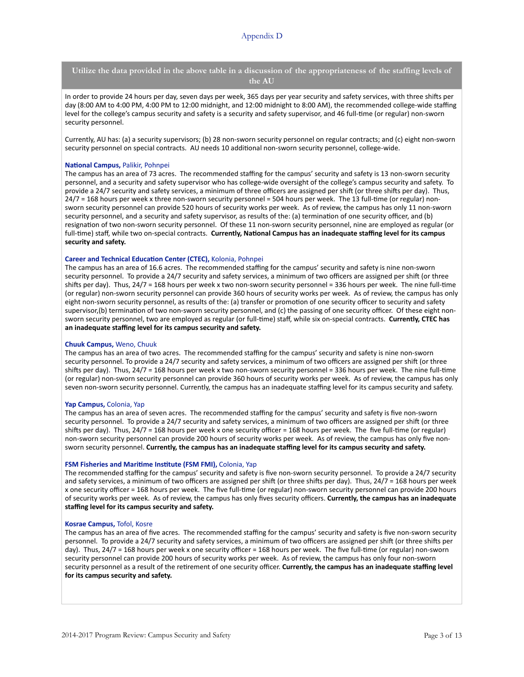**Utilize the data provided in the above table in a discussion of the appropriateness of the staffing levels of the AU**

In order to provide 24 hours per day, seven days per week, 365 days per year security and safety services, with three shifts per day (8:00 AM to 4:00 PM, 4:00 PM to 12:00 midnight, and 12:00 midnight to 8:00 AM), the recommended college-wide staffing level for the college's campus security and safety is a security and safety supervisor, and 46 full-time (or regular) non-sworn security personnel.

Currently, AU has: (a) a security supervisors; (b) 28 non-sworn security personnel on regular contracts; and (c) eight non-sworn security personnel on special contracts. AU needs 10 additional non-sworn security personnel, college-wide.

#### **National Campus, Palikir, Pohnpei**

The campus has an area of 73 acres. The recommended staffing for the campus' security and safety is 13 non-sworn security personnel, and a security and safety supervisor who has college-wide oversight of the college's campus security and safety. To provide a 24/7 security and safety services, a minimum of three officers are assigned per shift (or three shifts per day). Thus,  $24/7 = 168$  hours per week x three non-sworn security personnel = 504 hours per week. The 13 full-time (or regular) nonsworn security personnel can provide 520 hours of security works per week. As of review, the campus has only 11 non-sworn security personnel, and a security and safety supervisor, as results of the: (a) termination of one security officer, and (b) resignation of two non-sworn security personnel. Of these 11 non-sworn security personnel, nine are employed as regular (or full-time) staff, while two on-special contracts. Currently, National Campus has an inadequate staffing level for its campus security and safety.

#### **Career and Technical Education Center (CTEC),** Kolonia, Pohnpei

The campus has an area of 16.6 acres. The recommended staffing for the campus' security and safety is nine non-sworn security personnel. To provide a 24/7 security and safety services, a minimum of two officers are assigned per shift (or three shifts per day). Thus,  $24/7 = 168$  hours per week x two non-sworn security personnel = 336 hours per week. The nine full-time (or regular) non-sworn security personnel can provide 360 hours of security works per week. As of review, the campus has only eight non-sworn security personnel, as results of the: (a) transfer or promotion of one security officer to security and safety supervisor,(b) termination of two non-sworn security personnel, and (c) the passing of one security officer. Of these eight nonsworn security personnel, two are employed as regular (or full-time) staff, while six on-special contracts. Currently, CTEC has an inadequate staffing level for its campus security and safety.

#### **Chuuk Campus,** Weno, Chuuk

The campus has an area of two acres. The recommended staffing for the campus' security and safety is nine non-sworn security personnel. To provide a 24/7 security and safety services, a minimum of two officers are assigned per shift (or three shifts per day). Thus,  $24/7 = 168$  hours per week x two non-sworn security personnel = 336 hours per week. The nine full-time (or regular) non-sworn security personnel can provide 360 hours of security works per week. As of review, the campus has only seven non-sworn security personnel. Currently, the campus has an inadequate staffing level for its campus security and safety.

### Yap Campus, Colonia, Yap

The campus has an area of seven acres. The recommended staffing for the campus' security and safety is five non-sworn security personnel. To provide a 24/7 security and safety services, a minimum of two officers are assigned per shift (or three shifts per day). Thus,  $24/7 = 168$  hours per week x one security officer = 168 hours per week. The five full-time (or regular) non-sworn security personnel can provide 200 hours of security works per week. As of review, the campus has only five nonsworn security personnel. Currently, the campus has an inadequate staffing level for its campus security and safety.

#### **FSM Fisheries and Maritime Institute (FSM FMI), Colonia, Yap**

The recommended staffing for the campus' security and safety is five non-sworn security personnel. To provide a 24/7 security and safety services, a minimum of two officers are assigned per shift (or three shifts per day). Thus,  $24/7 = 168$  hours per week x one security officer = 168 hours per week. The five full-time (or regular) non-sworn security personnel can provide 200 hours of security works per week. As of review, the campus has only fives security officers. Currently, the campus has an inadequate staffing level for its campus security and safety.

#### **Kosrae Campus, Tofol, Kosre**

The campus has an area of five acres. The recommended staffing for the campus' security and safety is five non-sworn security personnel. To provide a 24/7 security and safety services, a minimum of two officers are assigned per shift (or three shifts per day). Thus, 24/7 = 168 hours per week x one security officer = 168 hours per week. The five full-time (or regular) non-sworn security personnel can provide 200 hours of security works per week. As of review, the campus has only four non-sworn security personnel as a result of the retirement of one security officer. **Currently, the campus has an inadequate staffing level** for its campus security and safety.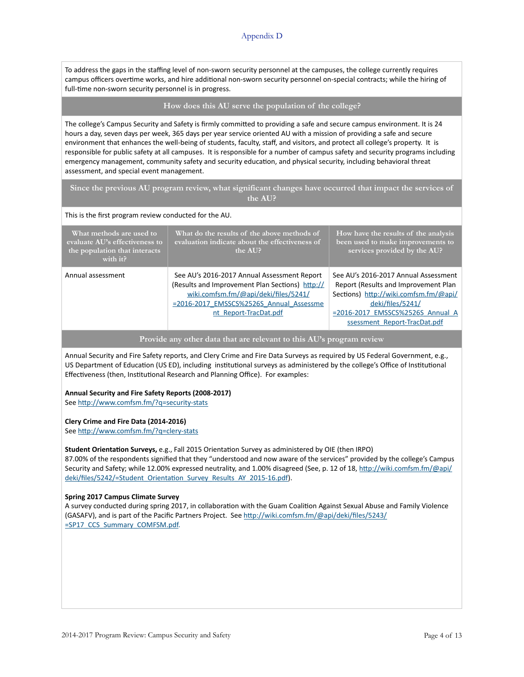To address the gaps in the staffing level of non-sworn security personnel at the campuses, the college currently requires campus officers overtime works, and hire additional non-sworn security personnel on-special contracts; while the hiring of full-time non-sworn security personnel is in progress.

### **How does this AU serve the population of the college?**

The college's Campus Security and Safety is firmly committed to providing a safe and secure campus environment. It is 24 hours a day, seven days per week, 365 days per year service oriented AU with a mission of providing a safe and secure environment that enhances the well-being of students, faculty, staff, and visitors, and protect all college's property. It is responsible for public safety at all campuses. It is responsible for a number of campus safety and security programs including emergency management, community safety and security education, and physical security, including behavioral threat assessment, and special event management.

**Since the previous AU program review, what significant changes have occurred that impact the services of the AU?**

### This is the first program review conducted for the AU.

| What methods are used to<br>evaluate AU's effectiveness to<br>the population that interacts<br>with $it$ ? | What do the results of the above methods of<br>evaluation indicate about the effectiveness of<br>the AUP                                                                                                   | How have the results of the analysis<br>been used to make improvements to<br>services provided by the AU?                                                                                                     |  |
|------------------------------------------------------------------------------------------------------------|------------------------------------------------------------------------------------------------------------------------------------------------------------------------------------------------------------|---------------------------------------------------------------------------------------------------------------------------------------------------------------------------------------------------------------|--|
| Annual assessment                                                                                          | See AU's 2016-2017 Annual Assessment Report<br>(Results and Improvement Plan Sections) http://<br>wiki.comfsm.fm/@api/deki/files/5241/<br>=2016-2017_EMSSCS%2526S_Annual_Assessme<br>nt Report-TracDat.pdf | See AU's 2016-2017 Annual Assessment<br>Report (Results and Improvement Plan<br>Sections) http://wiki.comfsm.fm/@api/<br>deki/files/5241/<br>=2016-2017 EMSSCS%2526S Annual A<br>ssessment Report-TracDat.pdf |  |

### **Provide any other data that are relevant to this AU's program review**

Annual Security and Fire Safety reports, and Clery Crime and Fire Data Surveys as required by US Federal Government, e.g., US Department of Education (US ED), including institutional surveys as administered by the college's Office of Institutional Effectiveness (then, Institutional Research and Planning Office). For examples:

### Annual Security and Fire Safety Reports (2008-2017)

See http://www.comfsm.fm/?q=security-stats

### Clery Crime and Fire Data (2014-2016)

See http://www.comfsm.fm/?q=clery-stats

### **Student Orientation Surveys,** e.g., Fall 2015 Orientation Survey as administered by OIE (then IRPO)

87.00% of the respondents signified that they "understood and now aware of the services" provided by the college's Campus Security and Safety; while 12.00% expressed neutrality, and 1.00% disagreed (See, p. 12 of 18, http://wiki.comfsm.fm/@api/ deki/files/5242/=Student\_Orientation\_Survey\_Results\_AY\_2015-16.pdf).

### **Spring 2017 Campus Climate Survey**

A survey conducted during spring 2017, in collaboration with the Guam Coalition Against Sexual Abuse and Family Violence (GASAFV), and is part of the Pacific Partners Project. See http://wiki.comfsm.fm/@api/deki/files/5243/ =SP17\_CCS\_Summary\_COMFSM.pdf.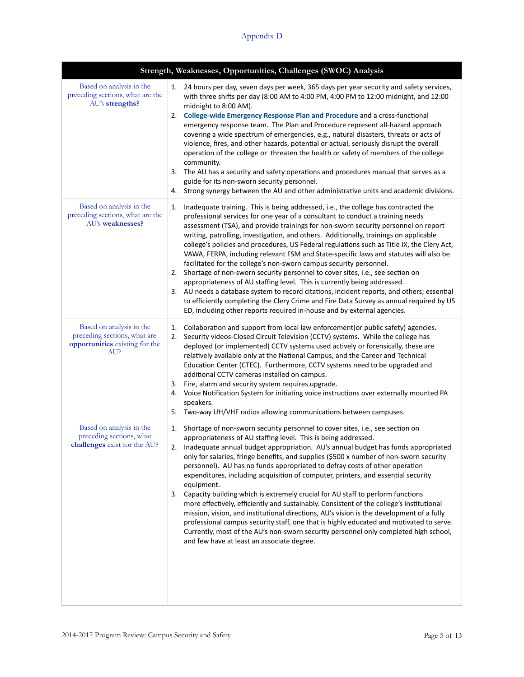|                                                                                                   | Strength, Weaknesses, Opportunities, Challenges (SWOC) Analysis                                                                                                                                                                                                                                                                                                                                                                                                                                                                                                                                                                                                                                                                                                                                                                                                                                                                                                                                                                                            |
|---------------------------------------------------------------------------------------------------|------------------------------------------------------------------------------------------------------------------------------------------------------------------------------------------------------------------------------------------------------------------------------------------------------------------------------------------------------------------------------------------------------------------------------------------------------------------------------------------------------------------------------------------------------------------------------------------------------------------------------------------------------------------------------------------------------------------------------------------------------------------------------------------------------------------------------------------------------------------------------------------------------------------------------------------------------------------------------------------------------------------------------------------------------------|
| Based on analysis in the<br>preceding sections, what are the<br>AU's strengths?                   | 24 hours per day, seven days per week, 365 days per year security and safety services,<br>1.<br>with three shifts per day (8:00 AM to 4:00 PM, 4:00 PM to 12:00 midnight, and 12:00<br>midnight to 8:00 AM).<br>2. College-wide Emergency Response Plan and Procedure and a cross-functional<br>emergency response team. The Plan and Procedure represent all-hazard approach<br>covering a wide spectrum of emergencies, e.g., natural disasters, threats or acts of<br>violence, fires, and other hazards, potential or actual, seriously disrupt the overall<br>operation of the college or threaten the health or safety of members of the college<br>community.<br>The AU has a security and safety operations and procedures manual that serves as a<br>3.<br>guide for its non-sworn security personnel.<br>Strong synergy between the AU and other administrative units and academic divisions.<br>4.                                                                                                                                              |
| Based on analysis in the<br>preceding sections, what are the<br>AU's weaknesses?                  | Inadequate training. This is being addressed, i.e., the college has contracted the<br>1.<br>professional services for one year of a consultant to conduct a training needs<br>assessment (TSA), and provide trainings for non-sworn security personnel on report<br>writing, patrolling, investigation, and others. Additionally, trainings on applicable<br>college's policies and procedures, US Federal regulations such as Title IX, the Clery Act,<br>VAWA, FERPA, including relevant FSM and State-specific laws and statutes will also be<br>facilitated for the college's non-sworn campus security personnel.<br>2. Shortage of non-sworn security personnel to cover sites, i.e., see section on<br>appropriateness of AU staffing level. This is currently being addressed.<br>3. AU needs a database system to record citations, incident reports, and others; essential<br>to efficiently completing the Clery Crime and Fire Data Survey as annual required by US<br>ED, including other reports required in-house and by external agencies. |
| Based on analysis in the<br>preceding sections, what are<br>opportunities existing for the<br>AU? | Collaboration and support from local law enforcement (or public safety) agencies.<br>1.<br>Security videos-Closed Circuit Television (CCTV) systems. While the college has<br>2.<br>deployed (or implemented) CCTV systems used actively or forensically, these are<br>relatively available only at the National Campus, and the Career and Technical<br>Education Center (CTEC). Furthermore, CCTV systems need to be upgraded and<br>additional CCTV cameras installed on campus.<br>3. Fire, alarm and security system requires upgrade.<br>Voice Notification System for initiating voice instructions over externally mounted PA<br>4.<br>speakers.<br>Two-way UH/VHF radios allowing communications between campuses.<br>5.                                                                                                                                                                                                                                                                                                                          |
| Based on analysis in the<br>preceding sections, what<br>challenges exist for the AU?              | Shortage of non-sworn security personnel to cover sites, i.e., see section on<br>1.<br>appropriateness of AU staffing level. This is being addressed.<br>2. Inadequate annual budget appropriation. AU's annual budget has funds appropriated<br>only for salaries, fringe benefits, and supplies (\$500 x number of non-sworn security<br>personnel). AU has no funds appropriated to defray costs of other operation<br>expenditures, including acquisition of computer, printers, and essential security<br>equipment.<br>3. Capacity building which is extremely crucial for AU staff to perform functions<br>more effectively, efficiently and sustainably. Consistent of the college's institutional<br>mission, vision, and institutional directions, AU's vision is the development of a fully<br>professional campus security staff, one that is highly educated and motivated to serve.<br>Currently, most of the AU's non-sworn security personnel only completed high school,<br>and few have at least an associate degree.                    |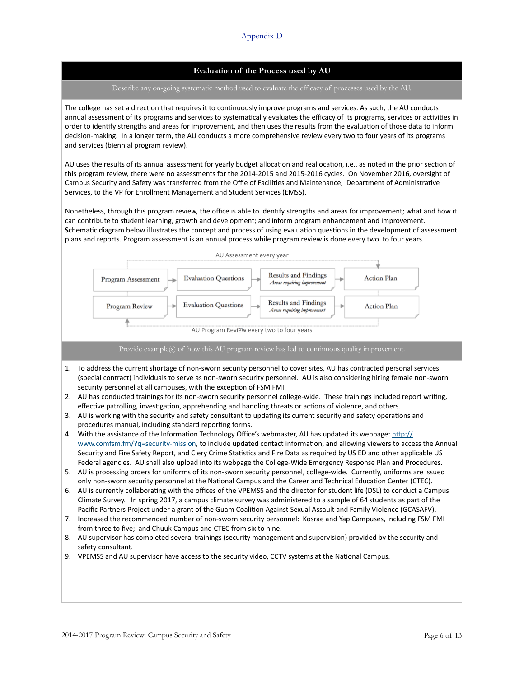## **Evaluation of the Process used by AU**

#### Describe any on-going systematic method used to evaluate the efficacy of processes used by the AU.

The college has set a direction that requires it to continuously improve programs and services. As such, the AU conducts annual assessment of its programs and services to systematically evaluates the efficacy of its programs, services or activities in order to identify strengths and areas for improvement, and then uses the results from the evaluation of those data to inform decision-making. In a longer term, the AU conducts a more comprehensive review every two to four years of its programs and services (biennial program review).

AU uses the results of its annual assessment for yearly budget allocation and reallocation, i.e., as noted in the prior section of this program review, there were no assessments for the 2014-2015 and 2015-2016 cycles. On November 2016, oversight of Campus Security and Safety was transferred from the Offie of Facilities and Maintenance, Department of Administrative Services, to the VP for Enrollment Management and Student Services (EMSS).

Nonetheless, through this program review, the office is able to identify strengths and areas for improvement; what and how it can contribute to student learning, growth and development; and inform program enhancement and improvement. Schematic diagram below illustrates the concept and process of using evaluation questions in the development of assessment plans and reports. Program assessment is an annual process while program review is done every two to four years.



### Provide example(s) of how this AU program review has led to continuous quality improvement.

- 1. To address the current shortage of non-sworn security personnel to cover sites, AU has contracted personal services (special contract) individuals to serve as non-sworn security personnel. AU is also considering hiring female non-sworn security personnel at all campuses, with the exception of FSM FMI.
- 2. AU has conducted trainings for its non-sworn security personnel college-wide. These trainings included report writing, effective patrolling, investigation, apprehending and handling threats or actions of violence, and others.
- 3. AU is working with the security and safety consultant to updating its current security and safety operations and procedures manual, including standard reporting forms.
- 4. With the assistance of the Information Technology Office's webmaster, AU has updated its webpage: http:// www.comfsm.fm/?q=security-mission, to include updated contact information, and allowing viewers to access the Annual Security and Fire Safety Report, and Clery Crime Statistics and Fire Data as required by US ED and other applicable US Federal agencies. AU shall also upload into its webpage the College-Wide Emergency Response Plan and Procedures.
- 5. AU is processing orders for uniforms of its non-sworn security personnel, college-wide. Currently, uniforms are issued only non-sworn security personnel at the National Campus and the Career and Technical Education Center (CTEC).
- 6. AU is currently collaborating with the offices of the VPEMSS and the director for student life (DSL) to conduct a Campus Climate Survey. In spring 2017, a campus climate survey was administered to a sample of 64 students as part of the Pacific Partners Project under a grant of the Guam Coalition Against Sexual Assault and Family Violence (GCASAFV).
- 7. Increased the recommended number of non-sworn security personnel: Kosrae and Yap Campuses, including FSM FMI from three to five: and Chuuk Campus and CTEC from six to nine.
- 8. AU supervisor has completed several trainings (security management and supervision) provided by the security and safety consultant.
- 9. VPEMSS and AU supervisor have access to the security video, CCTV systems at the National Campus.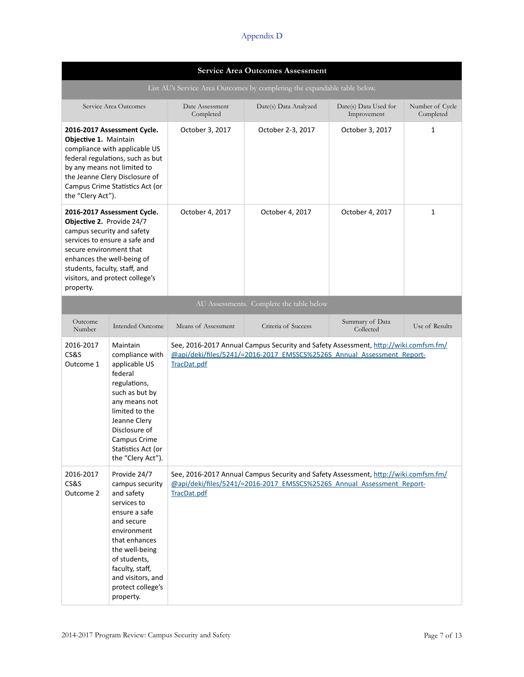| <b>Service Area Outcomes Assessment</b>                                                                                                                                                                                                                           |                                                                                                                                                                                                                                         |                                                                                                                                                                              |                                          |                                      |                              |  |
|-------------------------------------------------------------------------------------------------------------------------------------------------------------------------------------------------------------------------------------------------------------------|-----------------------------------------------------------------------------------------------------------------------------------------------------------------------------------------------------------------------------------------|------------------------------------------------------------------------------------------------------------------------------------------------------------------------------|------------------------------------------|--------------------------------------|------------------------------|--|
|                                                                                                                                                                                                                                                                   | List AU's Service Area Outcomes by completing the expandable table below.                                                                                                                                                               |                                                                                                                                                                              |                                          |                                      |                              |  |
|                                                                                                                                                                                                                                                                   | Service Area Outcomes                                                                                                                                                                                                                   | Date Assessment<br>Completed                                                                                                                                                 | Date(s) Data Analyzed                    | Date(s) Data Used for<br>Improvement | Number of Cycle<br>Completed |  |
| 2016-2017 Assessment Cycle.<br>Objective 1. Maintain<br>compliance with applicable US<br>federal regulations, such as but<br>by any means not limited to<br>the Jeanne Clery Disclosure of<br>Campus Crime Statistics Act (or<br>the "Clery Act").                |                                                                                                                                                                                                                                         | October 3, 2017                                                                                                                                                              | October 2-3, 2017                        | October 3, 2017                      | 1                            |  |
| 2016-2017 Assessment Cycle.<br>Objective 2. Provide 24/7<br>campus security and safety<br>services to ensure a safe and<br>secure environment that<br>enhances the well-being of<br>students, faculty, staff, and<br>visitors, and protect college's<br>property. |                                                                                                                                                                                                                                         | October 4, 2017                                                                                                                                                              | October 4, 2017                          | October 4, 2017                      | $\mathbf{1}$                 |  |
|                                                                                                                                                                                                                                                                   |                                                                                                                                                                                                                                         |                                                                                                                                                                              | AU Assessments. Complete the table below |                                      |                              |  |
| Outcome<br>Number                                                                                                                                                                                                                                                 | <b>Intended Outcome</b>                                                                                                                                                                                                                 | Means of Assessment                                                                                                                                                          | Criteria of Success                      | Summary of Data<br>Collected         | Use of Results               |  |
| 2016-2017<br>CS&S<br>Outcome 1                                                                                                                                                                                                                                    | Maintain<br>compliance with<br>applicable US<br>federal<br>regulations,<br>such as but by<br>any means not<br>limited to the<br>Jeanne Clery<br>Disclosure of<br>Campus Crime<br>Statistics Act (or<br>the "Clery Act").                | See, 2016-2017 Annual Campus Security and Safety Assessment, http://wiki.comfsm.fm/<br>@api/deki/files/5241/=2016-2017 EMSSCS%2526S Annual Assessment Report-<br>TracDat.pdf |                                          |                                      |                              |  |
| 2016-2017<br>CS&S<br>Outcome 2                                                                                                                                                                                                                                    | Provide 24/7<br>campus security<br>and safety<br>services to<br>ensure a safe<br>and secure<br>environment<br>that enhances<br>the well-being<br>of students,<br>faculty, staff,<br>and visitors, and<br>protect college's<br>property. | See, 2016-2017 Annual Campus Security and Safety Assessment, http://wiki.comfsm.fm/<br>@api/deki/files/5241/=2016-2017 EMSSCS%2526S Annual Assessment Report-<br>TracDat.pdf |                                          |                                      |                              |  |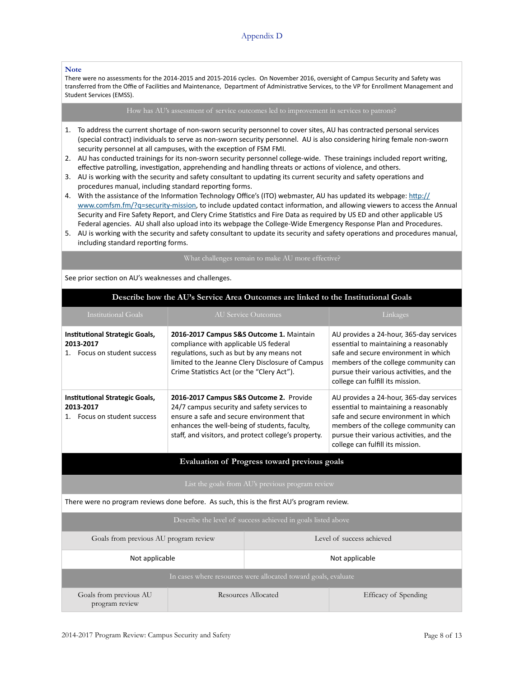#### **Note**

There were no assessments for the 2014-2015 and 2015-2016 cycles. On November 2016, oversight of Campus Security and Safety was transferred from the Offie of Facilities and Maintenance, Department of Administrative Services, to the VP for Enrollment Management and Student Services (EMSS).

- 1. To address the current shortage of non-sworn security personnel to cover sites, AU has contracted personal services (special contract) individuals to serve as non-sworn security personnel. AU is also considering hiring female non-sworn security personnel at all campuses, with the exception of FSM FMI.
- 2. AU has conducted trainings for its non-sworn security personnel college-wide. These trainings included report writing, effective patrolling, investigation, apprehending and handling threats or actions of violence, and others.
- 3. AU is working with the security and safety consultant to updating its current security and safety operations and procedures manual, including standard reporting forms.
- 4. With the assistance of the Information Technology Office's (ITO) webmaster, AU has updated its webpage: http:// www.comfsm.fm/?q=security-mission, to include updated contact information, and allowing viewers to access the Annual Security and Fire Safety Report, and Clery Crime Statistics and Fire Data as required by US ED and other applicable US Federal agencies. AU shall also upload into its webpage the College-Wide Emergency Response Plan and Procedures.
- 5. AU is working with the security and safety consultant to update its security and safety operations and procedures manual, including standard reporting forms.

### What challenges remain to make AU more effective?

See prior section on AU's weaknesses and challenges.

| Describe how the AU's Service Area Outcomes are linked to the Institutional Goals |  |
|-----------------------------------------------------------------------------------|--|
|                                                                                   |  |

| Institutional Goals                                                                                                                                                                                                                                                                                            |                                                                                                                                                                                      | AU Service Outcomes                                                                                                                                                                                                                              | Linkages                                                                                                                                                                                                                                         |  |
|----------------------------------------------------------------------------------------------------------------------------------------------------------------------------------------------------------------------------------------------------------------------------------------------------------------|--------------------------------------------------------------------------------------------------------------------------------------------------------------------------------------|--------------------------------------------------------------------------------------------------------------------------------------------------------------------------------------------------------------------------------------------------|--------------------------------------------------------------------------------------------------------------------------------------------------------------------------------------------------------------------------------------------------|--|
| Institutional Strategic Goals,<br>2016-2017 Campus S&S Outcome 1. Maintain<br>compliance with applicable US federal<br>2013-2017<br>regulations, such as but by any means not<br>1. Focus on student success<br>limited to the Jeanne Clery Disclosure of Campus<br>Crime Statistics Act (or the "Clery Act"). |                                                                                                                                                                                      | AU provides a 24-hour, 365-day services<br>essential to maintaining a reasonably<br>safe and secure environment in which<br>members of the college community can<br>pursue their various activities, and the<br>college can fulfill its mission. |                                                                                                                                                                                                                                                  |  |
| <b>Institutional Strategic Goals,</b><br>2013-2017<br>Focus on student success                                                                                                                                                                                                                                 | 2016-2017 Campus S&S Outcome 2. Provide<br>24/7 campus security and safety services to<br>ensure a safe and secure environment that<br>enhances the well-being of students, faculty, | staff, and visitors, and protect college's property.                                                                                                                                                                                             | AU provides a 24-hour, 365-day services<br>essential to maintaining a reasonably<br>safe and secure environment in which<br>members of the college community can<br>pursue their various activities, and the<br>college can fulfill its mission. |  |
|                                                                                                                                                                                                                                                                                                                |                                                                                                                                                                                      | Evaluation of Progress toward previous goals                                                                                                                                                                                                     |                                                                                                                                                                                                                                                  |  |
| List the goals from AU's previous program review                                                                                                                                                                                                                                                               |                                                                                                                                                                                      |                                                                                                                                                                                                                                                  |                                                                                                                                                                                                                                                  |  |
| There were no program reviews done before. As such, this is the first AU's program review.                                                                                                                                                                                                                     |                                                                                                                                                                                      |                                                                                                                                                                                                                                                  |                                                                                                                                                                                                                                                  |  |
| Describe the level of success achieved in goals listed above                                                                                                                                                                                                                                                   |                                                                                                                                                                                      |                                                                                                                                                                                                                                                  |                                                                                                                                                                                                                                                  |  |
| Level of success achieved<br>Goals from previous AU program review                                                                                                                                                                                                                                             |                                                                                                                                                                                      |                                                                                                                                                                                                                                                  |                                                                                                                                                                                                                                                  |  |
| Not applicable                                                                                                                                                                                                                                                                                                 |                                                                                                                                                                                      |                                                                                                                                                                                                                                                  | Not applicable                                                                                                                                                                                                                                   |  |
|                                                                                                                                                                                                                                                                                                                |                                                                                                                                                                                      | In cases where resources were allocated toward goals, evaluate                                                                                                                                                                                   |                                                                                                                                                                                                                                                  |  |
| Goals from previous AU<br>Resources Allocated<br>program review                                                                                                                                                                                                                                                |                                                                                                                                                                                      |                                                                                                                                                                                                                                                  | Efficacy of Spending                                                                                                                                                                                                                             |  |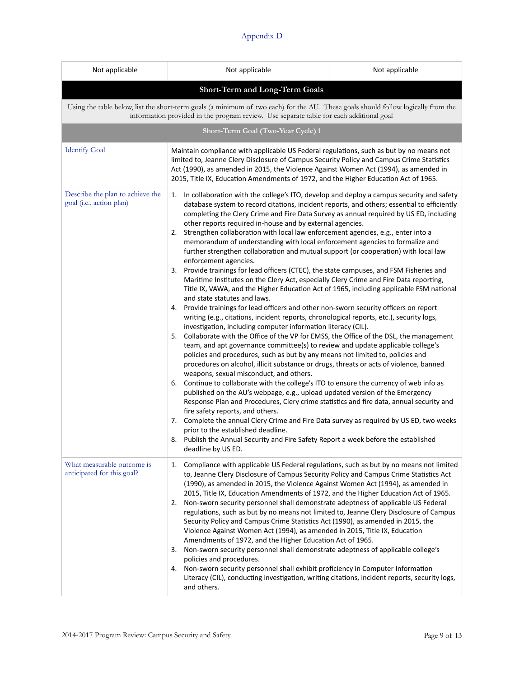| Not applicable                                               | Not applicable<br>Not applicable                                                                                                                                                                                                                                                                                                                                                                                                                                                                                                                                                                                                                                                                                                                                                                                                                                                                                                                                                                                                                                                                                                                                                                                                                                                                                                                                                                                                                                                                                                                                                                                                                                                                                                                                                                                                                                                                                                                                                                                                                                                                                                                           |  |  |  |  |  |
|--------------------------------------------------------------|------------------------------------------------------------------------------------------------------------------------------------------------------------------------------------------------------------------------------------------------------------------------------------------------------------------------------------------------------------------------------------------------------------------------------------------------------------------------------------------------------------------------------------------------------------------------------------------------------------------------------------------------------------------------------------------------------------------------------------------------------------------------------------------------------------------------------------------------------------------------------------------------------------------------------------------------------------------------------------------------------------------------------------------------------------------------------------------------------------------------------------------------------------------------------------------------------------------------------------------------------------------------------------------------------------------------------------------------------------------------------------------------------------------------------------------------------------------------------------------------------------------------------------------------------------------------------------------------------------------------------------------------------------------------------------------------------------------------------------------------------------------------------------------------------------------------------------------------------------------------------------------------------------------------------------------------------------------------------------------------------------------------------------------------------------------------------------------------------------------------------------------------------------|--|--|--|--|--|
| Short-Term and Long-Term Goals                               |                                                                                                                                                                                                                                                                                                                                                                                                                                                                                                                                                                                                                                                                                                                                                                                                                                                                                                                                                                                                                                                                                                                                                                                                                                                                                                                                                                                                                                                                                                                                                                                                                                                                                                                                                                                                                                                                                                                                                                                                                                                                                                                                                            |  |  |  |  |  |
|                                                              | Using the table below, list the short-term goals (a minimum of two each) for the AU. These goals should follow logically from the<br>information provided in the program review. Use separate table for each additional goal                                                                                                                                                                                                                                                                                                                                                                                                                                                                                                                                                                                                                                                                                                                                                                                                                                                                                                                                                                                                                                                                                                                                                                                                                                                                                                                                                                                                                                                                                                                                                                                                                                                                                                                                                                                                                                                                                                                               |  |  |  |  |  |
|                                                              | Short-Term Goal (Two-Year Cycle) 1                                                                                                                                                                                                                                                                                                                                                                                                                                                                                                                                                                                                                                                                                                                                                                                                                                                                                                                                                                                                                                                                                                                                                                                                                                                                                                                                                                                                                                                                                                                                                                                                                                                                                                                                                                                                                                                                                                                                                                                                                                                                                                                         |  |  |  |  |  |
| <b>Identify Goal</b>                                         | Maintain compliance with applicable US Federal regulations, such as but by no means not<br>limited to, Jeanne Clery Disclosure of Campus Security Policy and Campus Crime Statistics<br>Act (1990), as amended in 2015, the Violence Against Women Act (1994), as amended in<br>2015, Title IX, Education Amendments of 1972, and the Higher Education Act of 1965.                                                                                                                                                                                                                                                                                                                                                                                                                                                                                                                                                                                                                                                                                                                                                                                                                                                                                                                                                                                                                                                                                                                                                                                                                                                                                                                                                                                                                                                                                                                                                                                                                                                                                                                                                                                        |  |  |  |  |  |
| Describe the plan to achieve the<br>goal (i.e., action plan) | 1. In collaboration with the college's ITO, develop and deploy a campus security and safety<br>database system to record citations, incident reports, and others; essential to efficiently<br>completing the Clery Crime and Fire Data Survey as annual required by US ED, including<br>other reports required in-house and by external agencies.<br>2. Strengthen collaboration with local law enforcement agencies, e.g., enter into a<br>memorandum of understanding with local enforcement agencies to formalize and<br>further strengthen collaboration and mutual support (or cooperation) with local law<br>enforcement agencies.<br>3. Provide trainings for lead officers (CTEC), the state campuses, and FSM Fisheries and<br>Maritime Institutes on the Clery Act, especially Clery Crime and Fire Data reporting,<br>Title IX, VAWA, and the Higher Education Act of 1965, including applicable FSM national<br>and state statutes and laws.<br>Provide trainings for lead officers and other non-sworn security officers on report<br>4.<br>writing (e.g., citations, incident reports, chronological reports, etc.), security logs,<br>investigation, including computer information literacy (CIL).<br>5. Collaborate with the Office of the VP for EMSS, the Office of the DSL, the management<br>team, and apt governance committee(s) to review and update applicable college's<br>policies and procedures, such as but by any means not limited to, policies and<br>procedures on alcohol, illicit substance or drugs, threats or acts of violence, banned<br>weapons, sexual misconduct, and others.<br>6. Continue to collaborate with the college's ITO to ensure the currency of web info as<br>published on the AU's webpage, e.g., upload updated version of the Emergency<br>Response Plan and Procedures, Clery crime statistics and fire data, annual security and<br>fire safety reports, and others.<br>7. Complete the annual Clery Crime and Fire Data survey as required by US ED, two weeks<br>prior to the established deadline.<br>8. Publish the Annual Security and Fire Safety Report a week before the established |  |  |  |  |  |
| What measurable outcome is<br>anticipated for this goal?     | deadline by US ED.<br>Compliance with applicable US Federal regulations, such as but by no means not limited<br>1.<br>to, Jeanne Clery Disclosure of Campus Security Policy and Campus Crime Statistics Act<br>(1990), as amended in 2015, the Violence Against Women Act (1994), as amended in<br>2015, Title IX, Education Amendments of 1972, and the Higher Education Act of 1965.<br>Non-sworn security personnel shall demonstrate adeptness of applicable US Federal<br>2.<br>regulations, such as but by no means not limited to, Jeanne Clery Disclosure of Campus<br>Security Policy and Campus Crime Statistics Act (1990), as amended in 2015, the<br>Violence Against Women Act (1994), as amended in 2015, Title IX, Education<br>Amendments of 1972, and the Higher Education Act of 1965.<br>Non-sworn security personnel shall demonstrate adeptness of applicable college's<br>3.<br>policies and procedures.<br>4. Non-sworn security personnel shall exhibit proficiency in Computer Information                                                                                                                                                                                                                                                                                                                                                                                                                                                                                                                                                                                                                                                                                                                                                                                                                                                                                                                                                                                                                                                                                                                                       |  |  |  |  |  |
|                                                              | Literacy (CIL), conducting investigation, writing citations, incident reports, security logs,<br>and others.                                                                                                                                                                                                                                                                                                                                                                                                                                                                                                                                                                                                                                                                                                                                                                                                                                                                                                                                                                                                                                                                                                                                                                                                                                                                                                                                                                                                                                                                                                                                                                                                                                                                                                                                                                                                                                                                                                                                                                                                                                               |  |  |  |  |  |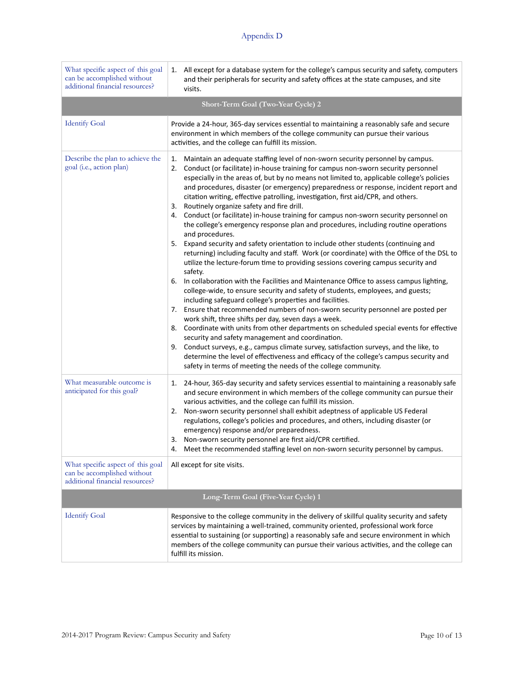| What specific aspect of this goal<br>can be accomplished without<br>additional financial resources? | All except for a database system for the college's campus security and safety, computers<br>1.<br>and their peripherals for security and safety offices at the state campuses, and site<br>visits.                                                                                                                                                                                                                                                                                                                                                                                                                                                                                                                                                                                                                                                                                                                                                                                                                                                                                                                                                                                                                                                                                                                                                                                                                                                                                                                                                                                                                                                                                                                                                                                                                     |  |  |  |
|-----------------------------------------------------------------------------------------------------|------------------------------------------------------------------------------------------------------------------------------------------------------------------------------------------------------------------------------------------------------------------------------------------------------------------------------------------------------------------------------------------------------------------------------------------------------------------------------------------------------------------------------------------------------------------------------------------------------------------------------------------------------------------------------------------------------------------------------------------------------------------------------------------------------------------------------------------------------------------------------------------------------------------------------------------------------------------------------------------------------------------------------------------------------------------------------------------------------------------------------------------------------------------------------------------------------------------------------------------------------------------------------------------------------------------------------------------------------------------------------------------------------------------------------------------------------------------------------------------------------------------------------------------------------------------------------------------------------------------------------------------------------------------------------------------------------------------------------------------------------------------------------------------------------------------------|--|--|--|
|                                                                                                     | Short-Term Goal (Two-Year Cycle) 2                                                                                                                                                                                                                                                                                                                                                                                                                                                                                                                                                                                                                                                                                                                                                                                                                                                                                                                                                                                                                                                                                                                                                                                                                                                                                                                                                                                                                                                                                                                                                                                                                                                                                                                                                                                     |  |  |  |
| <b>Identify Goal</b>                                                                                | Provide a 24-hour, 365-day services essential to maintaining a reasonably safe and secure<br>environment in which members of the college community can pursue their various<br>activities, and the college can fulfill its mission.                                                                                                                                                                                                                                                                                                                                                                                                                                                                                                                                                                                                                                                                                                                                                                                                                                                                                                                                                                                                                                                                                                                                                                                                                                                                                                                                                                                                                                                                                                                                                                                    |  |  |  |
| Describe the plan to achieve the<br>goal (i.e., action plan)                                        | Maintain an adequate staffing level of non-sworn security personnel by campus.<br>1.<br>Conduct (or facilitate) in-house training for campus non-sworn security personnel<br>2.<br>especially in the areas of, but by no means not limited to, applicable college's policies<br>and procedures, disaster (or emergency) preparedness or response, incident report and<br>citation writing, effective patrolling, investigation, first aid/CPR, and others.<br>Routinely organize safety and fire drill.<br>3.<br>Conduct (or facilitate) in-house training for campus non-sworn security personnel on<br>4.<br>the college's emergency response plan and procedures, including routine operations<br>and procedures.<br>Expand security and safety orientation to include other students (continuing and<br>5.<br>returning) including faculty and staff. Work (or coordinate) with the Office of the DSL to<br>utilize the lecture-forum time to providing sessions covering campus security and<br>safety.<br>In collaboration with the Facilities and Maintenance Office to assess campus lighting,<br>6.<br>college-wide, to ensure security and safety of students, employees, and guests;<br>including safeguard college's properties and facilities.<br>7. Ensure that recommended numbers of non-sworn security personnel are posted per<br>work shift, three shifts per day, seven days a week.<br>Coordinate with units from other departments on scheduled special events for effective<br>8.<br>security and safety management and coordination.<br>Conduct surveys, e.g., campus climate survey, satisfaction surveys, and the like, to<br>9.<br>determine the level of effectiveness and efficacy of the college's campus security and<br>safety in terms of meeting the needs of the college community. |  |  |  |
| What measurable outcome is<br>anticipated for this goal?                                            | 1. 24-hour, 365-day security and safety services essential to maintaining a reasonably safe<br>and secure environment in which members of the college community can pursue their<br>various activities, and the college can fulfill its mission.<br>Non-sworn security personnel shall exhibit adeptness of applicable US Federal<br>2.<br>regulations, college's policies and procedures, and others, including disaster (or<br>emergency) response and/or preparedness.<br>Non-sworn security personnel are first aid/CPR certified.<br>3.<br>Meet the recommended staffing level on non-sworn security personnel by campus.<br>4.                                                                                                                                                                                                                                                                                                                                                                                                                                                                                                                                                                                                                                                                                                                                                                                                                                                                                                                                                                                                                                                                                                                                                                                   |  |  |  |
| What specific aspect of this goal<br>can be accomplished without<br>additional financial resources? | All except for site visits.                                                                                                                                                                                                                                                                                                                                                                                                                                                                                                                                                                                                                                                                                                                                                                                                                                                                                                                                                                                                                                                                                                                                                                                                                                                                                                                                                                                                                                                                                                                                                                                                                                                                                                                                                                                            |  |  |  |
|                                                                                                     | Long-Term Goal (Five-Year Cycle) 1                                                                                                                                                                                                                                                                                                                                                                                                                                                                                                                                                                                                                                                                                                                                                                                                                                                                                                                                                                                                                                                                                                                                                                                                                                                                                                                                                                                                                                                                                                                                                                                                                                                                                                                                                                                     |  |  |  |
| <b>Identify Goal</b>                                                                                | Responsive to the college community in the delivery of skillful quality security and safety<br>services by maintaining a well-trained, community oriented, professional work force<br>essential to sustaining (or supporting) a reasonably safe and secure environment in which<br>members of the college community can pursue their various activities, and the college can<br>fulfill its mission.                                                                                                                                                                                                                                                                                                                                                                                                                                                                                                                                                                                                                                                                                                                                                                                                                                                                                                                                                                                                                                                                                                                                                                                                                                                                                                                                                                                                                   |  |  |  |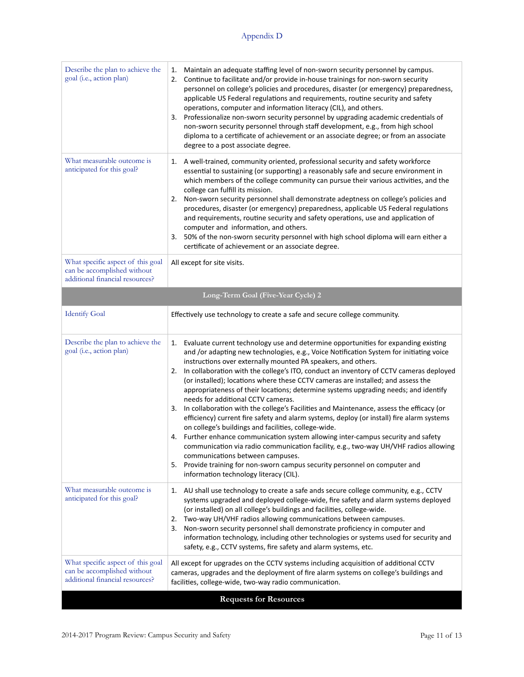| Describe the plan to achieve the<br>goal (i.e., action plan)                                        | Maintain an adequate staffing level of non-sworn security personnel by campus.<br>1.<br>Continue to facilitate and/or provide in-house trainings for non-sworn security<br>2.<br>personnel on college's policies and procedures, disaster (or emergency) preparedness,<br>applicable US Federal regulations and requirements, routine security and safety<br>operations, computer and information literacy (CIL), and others.<br>Professionalize non-sworn security personnel by upgrading academic credentials of<br>3.<br>non-sworn security personnel through staff development, e.g., from high school<br>diploma to a certificate of achievement or an associate degree; or from an associate<br>degree to a post associate degree.                                                                                                                                                                                                                                                                                                                                                                                                                              |  |  |
|-----------------------------------------------------------------------------------------------------|-----------------------------------------------------------------------------------------------------------------------------------------------------------------------------------------------------------------------------------------------------------------------------------------------------------------------------------------------------------------------------------------------------------------------------------------------------------------------------------------------------------------------------------------------------------------------------------------------------------------------------------------------------------------------------------------------------------------------------------------------------------------------------------------------------------------------------------------------------------------------------------------------------------------------------------------------------------------------------------------------------------------------------------------------------------------------------------------------------------------------------------------------------------------------|--|--|
| What measurable outcome is<br>anticipated for this goal?                                            | A well-trained, community oriented, professional security and safety workforce<br>1.<br>essential to sustaining (or supporting) a reasonably safe and secure environment in<br>which members of the college community can pursue their various activities, and the<br>college can fulfill its mission.<br>Non-sworn security personnel shall demonstrate adeptness on college's policies and<br>2.<br>procedures, disaster (or emergency) preparedness, applicable US Federal regulations<br>and requirements, routine security and safety operations, use and application of<br>computer and information, and others.<br>50% of the non-sworn security personnel with high school diploma will earn either a<br>3.<br>certificate of achievement or an associate degree.                                                                                                                                                                                                                                                                                                                                                                                             |  |  |
| What specific aspect of this goal<br>can be accomplished without<br>additional financial resources? | All except for site visits.                                                                                                                                                                                                                                                                                                                                                                                                                                                                                                                                                                                                                                                                                                                                                                                                                                                                                                                                                                                                                                                                                                                                           |  |  |
|                                                                                                     | Long-Term Goal (Five-Year Cycle) 2                                                                                                                                                                                                                                                                                                                                                                                                                                                                                                                                                                                                                                                                                                                                                                                                                                                                                                                                                                                                                                                                                                                                    |  |  |
| <b>Identify Goal</b>                                                                                | Effectively use technology to create a safe and secure college community.                                                                                                                                                                                                                                                                                                                                                                                                                                                                                                                                                                                                                                                                                                                                                                                                                                                                                                                                                                                                                                                                                             |  |  |
| Describe the plan to achieve the<br>goal (i.e., action plan)                                        | 1. Evaluate current technology use and determine opportunities for expanding existing<br>and /or adapting new technologies, e.g., Voice Notification System for initiating voice<br>instructions over externally mounted PA speakers, and others.<br>In collaboration with the college's ITO, conduct an inventory of CCTV cameras deployed<br>2.<br>(or installed); locations where these CCTV cameras are installed; and assess the<br>appropriateness of their locations; determine systems upgrading needs; and identify<br>needs for additional CCTV cameras.<br>In collaboration with the college's Facilities and Maintenance, assess the efficacy (or<br>3.<br>efficiency) current fire safety and alarm systems, deploy (or install) fire alarm systems<br>on college's buildings and facilities, college-wide.<br>4. Further enhance communication system allowing inter-campus security and safety<br>communication via radio communication facility, e.g., two-way UH/VHF radios allowing<br>communications between campuses.<br>Provide training for non-sworn campus security personnel on computer and<br>5.<br>information technology literacy (CIL). |  |  |
| What measurable outcome is<br>anticipated for this goal?                                            | 1. AU shall use technology to create a safe ands secure college community, e.g., CCTV<br>systems upgraded and deployed college-wide, fire safety and alarm systems deployed<br>(or installed) on all college's buildings and facilities, college-wide.<br>Two-way UH/VHF radios allowing communications between campuses.<br>2.<br>Non-sworn security personnel shall demonstrate proficiency in computer and<br>3.<br>information technology, including other technologies or systems used for security and<br>safety, e.g., CCTV systems, fire safety and alarm systems, etc.                                                                                                                                                                                                                                                                                                                                                                                                                                                                                                                                                                                       |  |  |
| What specific aspect of this goal<br>can be accomplished without<br>additional financial resources? | All except for upgrades on the CCTV systems including acquisition of additional CCTV<br>cameras, upgrades and the deployment of fire alarm systems on college's buildings and<br>facilities, college-wide, two-way radio communication.                                                                                                                                                                                                                                                                                                                                                                                                                                                                                                                                                                                                                                                                                                                                                                                                                                                                                                                               |  |  |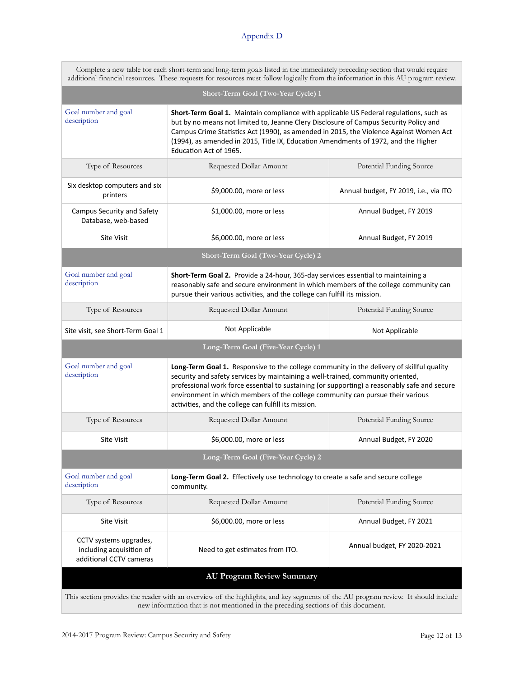|                                                                                                                                    | Complete a new table for each short-term and long-term goals listed in the immediately preceding section that would require |  |  |
|------------------------------------------------------------------------------------------------------------------------------------|-----------------------------------------------------------------------------------------------------------------------------|--|--|
| additional financial resources. These requests for resources must follow logically from the information in this AU program review. |                                                                                                                             |  |  |

| Short-Term Goal (Two-Year Cycle) 1                                                                                                                                                                                                                                                                                                                                                                                               |                                                                                                                                                                                                                                                                                                                                                                                                                        |                                       |
|----------------------------------------------------------------------------------------------------------------------------------------------------------------------------------------------------------------------------------------------------------------------------------------------------------------------------------------------------------------------------------------------------------------------------------|------------------------------------------------------------------------------------------------------------------------------------------------------------------------------------------------------------------------------------------------------------------------------------------------------------------------------------------------------------------------------------------------------------------------|---------------------------------------|
| Goal number and goal<br>Short-Term Goal 1. Maintain compliance with applicable US Federal regulations, such as<br>description<br>but by no means not limited to, Jeanne Clery Disclosure of Campus Security Policy and<br>Campus Crime Statistics Act (1990), as amended in 2015, the Violence Against Women Act<br>(1994), as amended in 2015, Title IX, Education Amendments of 1972, and the Higher<br>Education Act of 1965. |                                                                                                                                                                                                                                                                                                                                                                                                                        |                                       |
| Type of Resources                                                                                                                                                                                                                                                                                                                                                                                                                | Requested Dollar Amount                                                                                                                                                                                                                                                                                                                                                                                                | Potential Funding Source              |
| Six desktop computers and six<br>printers                                                                                                                                                                                                                                                                                                                                                                                        | \$9,000.00, more or less                                                                                                                                                                                                                                                                                                                                                                                               | Annual budget, FY 2019, i.e., via ITO |
| Campus Security and Safety<br>Database, web-based                                                                                                                                                                                                                                                                                                                                                                                | \$1,000.00, more or less                                                                                                                                                                                                                                                                                                                                                                                               | Annual Budget, FY 2019                |
| <b>Site Visit</b>                                                                                                                                                                                                                                                                                                                                                                                                                | \$6,000.00, more or less                                                                                                                                                                                                                                                                                                                                                                                               | Annual Budget, FY 2019                |
| Short-Term Goal (Two-Year Cycle) 2                                                                                                                                                                                                                                                                                                                                                                                               |                                                                                                                                                                                                                                                                                                                                                                                                                        |                                       |
| Goal number and goal<br>description                                                                                                                                                                                                                                                                                                                                                                                              | Short-Term Goal 2. Provide a 24-hour, 365-day services essential to maintaining a<br>reasonably safe and secure environment in which members of the college community can<br>pursue their various activities, and the college can fulfill its mission.                                                                                                                                                                 |                                       |
| Type of Resources                                                                                                                                                                                                                                                                                                                                                                                                                | Requested Dollar Amount                                                                                                                                                                                                                                                                                                                                                                                                | Potential Funding Source              |
| Site visit, see Short-Term Goal 1                                                                                                                                                                                                                                                                                                                                                                                                | Not Applicable                                                                                                                                                                                                                                                                                                                                                                                                         | Not Applicable                        |
| Long-Term Goal (Five-Year Cycle) 1                                                                                                                                                                                                                                                                                                                                                                                               |                                                                                                                                                                                                                                                                                                                                                                                                                        |                                       |
| Goal number and goal<br>description                                                                                                                                                                                                                                                                                                                                                                                              | Long-Term Goal 1. Responsive to the college community in the delivery of skillful quality<br>security and safety services by maintaining a well-trained, community oriented,<br>professional work force essential to sustaining (or supporting) a reasonably safe and secure<br>environment in which members of the college community can pursue their various<br>activities, and the college can fulfill its mission. |                                       |
| Type of Resources                                                                                                                                                                                                                                                                                                                                                                                                                | Requested Dollar Amount                                                                                                                                                                                                                                                                                                                                                                                                | Potential Funding Source              |
| <b>Site Visit</b>                                                                                                                                                                                                                                                                                                                                                                                                                | \$6,000.00, more or less                                                                                                                                                                                                                                                                                                                                                                                               | Annual Budget, FY 2020                |
| Long-Term Goal (Five-Year Cycle) 2                                                                                                                                                                                                                                                                                                                                                                                               |                                                                                                                                                                                                                                                                                                                                                                                                                        |                                       |
| Goal number and goal<br>description                                                                                                                                                                                                                                                                                                                                                                                              | Long-Term Goal 2. Effectively use technology to create a safe and secure college<br>community.                                                                                                                                                                                                                                                                                                                         |                                       |
| Type of Resources                                                                                                                                                                                                                                                                                                                                                                                                                | Requested Dollar Amount                                                                                                                                                                                                                                                                                                                                                                                                | Potential Funding Source              |
| <b>Site Visit</b>                                                                                                                                                                                                                                                                                                                                                                                                                | \$6,000.00, more or less                                                                                                                                                                                                                                                                                                                                                                                               | Annual Budget, FY 2021                |
| CCTV systems upgrades,<br>including acquisition of<br>additional CCTV cameras                                                                                                                                                                                                                                                                                                                                                    | Need to get estimates from ITO.                                                                                                                                                                                                                                                                                                                                                                                        | Annual budget, FY 2020-2021           |
| <b>AU Program Review Summary</b>                                                                                                                                                                                                                                                                                                                                                                                                 |                                                                                                                                                                                                                                                                                                                                                                                                                        |                                       |
| This section provides the reader with an overview of the highlights, and key segments of the AU program review. It should include<br>new information that is not mentioned in the preceding sections of this document.                                                                                                                                                                                                           |                                                                                                                                                                                                                                                                                                                                                                                                                        |                                       |